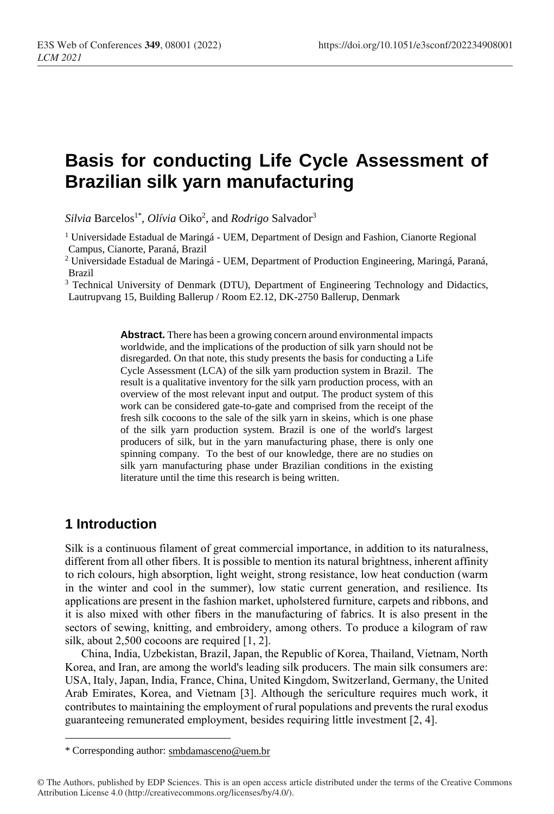# **Basis for conducting Life Cycle Assessment of Brazilian silk yarn manufacturing**

*Silvia* Barcelos<sup>1\*</sup>, *Olívia* Oiko<sup>2</sup>, and *Rodrigo* Salvador<sup>3</sup>

 $<sup>1</sup>$  Universidade Estadual de Maringá - UEM, Department of Design and Fashion, Cianorte Regional</sup> Campus, Cianorte, Paraná, Brazil

<sup>2</sup> Universidade Estadual de Maringá - UEM, Department of Production Engineering, Maringá, Paraná, Brazil

<sup>3</sup> Technical University of Denmark (DTU), Department of Engineering Technology and Didactics, Lautrupvang 15, Building Ballerup / Room E2.12, DK-2750 Ballerup, Denmark

> **Abstract.** There has been a growing concern around environmental impacts worldwide, and the implications of the production of silk yarn should not be disregarded. On that note, this study presents the basis for conducting a Life Cycle Assessment (LCA) of the silk yarn production system in Brazil. The result is a qualitative inventory for the silk yarn production process, with an overview of the most relevant input and output. The product system of this work can be considered gate-to-gate and comprised from the receipt of the fresh silk cocoons to the sale of the silk yarn in skeins, which is one phase of the silk yarn production system. Brazil is one of the world's largest producers of silk, but in the yarn manufacturing phase, there is only one spinning company. To the best of our knowledge, there are no studies on silk yarn manufacturing phase under Brazilian conditions in the existing literature until the time this research is being written.

# **1 Introduction**

 $\overline{a}$ 

Silk is a continuous filament of great commercial importance, in addition to its naturalness, different from all other fibers. It is possible to mention its natural brightness, inherent affinity to rich colours, high absorption, light weight, strong resistance, low heat conduction (warm in the winter and cool in the summer), low static current generation, and resilience. Its applications are present in the fashion market, upholstered furniture, carpets and ribbons, and it is also mixed with other fibers in the manufacturing of fabrics. It is also present in the sectors of sewing, knitting, and embroidery, among others. To produce a kilogram of raw silk, about 2,500 cocoons are required [1, 2].

China, India, Uzbekistan, Brazil, Japan, the Republic of Korea, Thailand, Vietnam, North Korea, and Iran, are among the world's leading silk producers. The main silk consumers are: USA, Italy, Japan, India, France, China, United Kingdom, Switzerland, Germany, the United Arab Emirates, Korea, and Vietnam [3]. Although the sericulture requires much work, it contributes to maintaining the employment of rural populations and prevents the rural exodus guaranteeing remunerated employment, besides requiring little investment [2, 4].

<sup>\*</sup> Corresponding author: [smbdamasceno@uem.br](mailto:smbdamasceno@uem.br)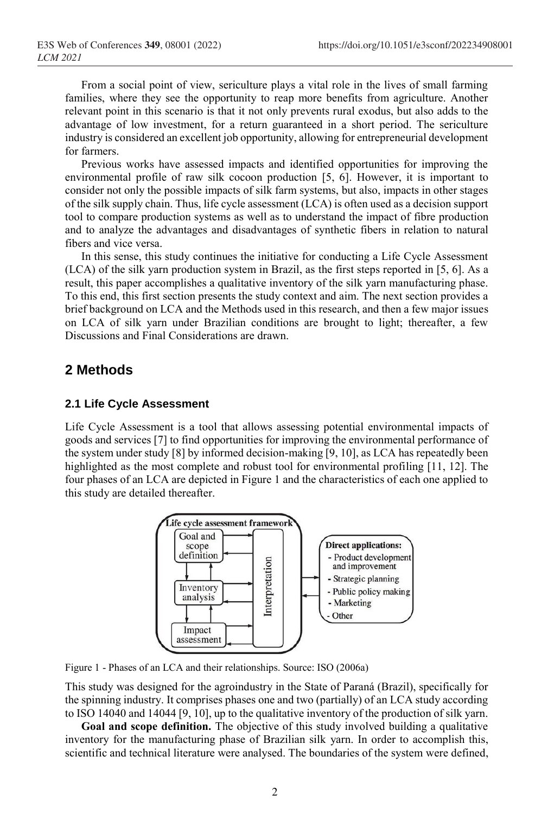From a social point of view, sericulture plays a vital role in the lives of small farming families, where they see the opportunity to reap more benefits from agriculture. Another relevant point in this scenario is that it not only prevents rural exodus, but also adds to the advantage of low investment, for a return guaranteed in a short period. The sericulture industry is considered an excellent job opportunity, allowing for entrepreneurial development for farmers.

Previous works have assessed impacts and identified opportunities for improving the environmental profile of raw silk cocoon production [5, 6]. However, it is important to consider not only the possible impacts of silk farm systems, but also, impacts in other stages of the silk supply chain. Thus, life cycle assessment (LCA) is often used as a decision support tool to compare production systems as well as to understand the impact of fibre production and to analyze the advantages and disadvantages of synthetic fibers in relation to natural fibers and vice versa.

In this sense, this study continues the initiative for conducting a Life Cycle Assessment (LCA) of the silk yarn production system in Brazil, as the first steps reported in [5, 6]. As a result, this paper accomplishes a qualitative inventory of the silk yarn manufacturing phase. To this end, this first section presents the study context and aim. The next section provides a brief background on LCA and the Methods used in this research, and then a few major issues on LCA of silk yarn under Brazilian conditions are brought to light; thereafter, a few Discussions and Final Considerations are drawn.

# **2 Methods**

#### **2.1 Life Cycle Assessment**

Life Cycle Assessment is a tool that allows assessing potential environmental impacts of goods and services [7] to find opportunities for improving the environmental performance of the system under study [8] by informed decision-making [9, 10], as LCA has repeatedly been highlighted as the most complete and robust tool for environmental profiling [11, 12]. The four phases of an LCA are depicted in Figure 1 and the characteristics of each one applied to this study are detailed thereafter.



Figure 1 - Phases of an LCA and their relationships. Source: ISO (2006a)

This study was designed for the agroindustry in the State of Paraná (Brazil), specifically for the spinning industry. It comprises phases one and two (partially) of an LCA study according to ISO 14040 and 14044 [9, 10], up to the qualitative inventory of the production of silk yarn.

**Goal and scope definition.** The objective of this study involved building a qualitative inventory for the manufacturing phase of Brazilian silk yarn. In order to accomplish this, scientific and technical literature were analysed. The boundaries of the system were defined,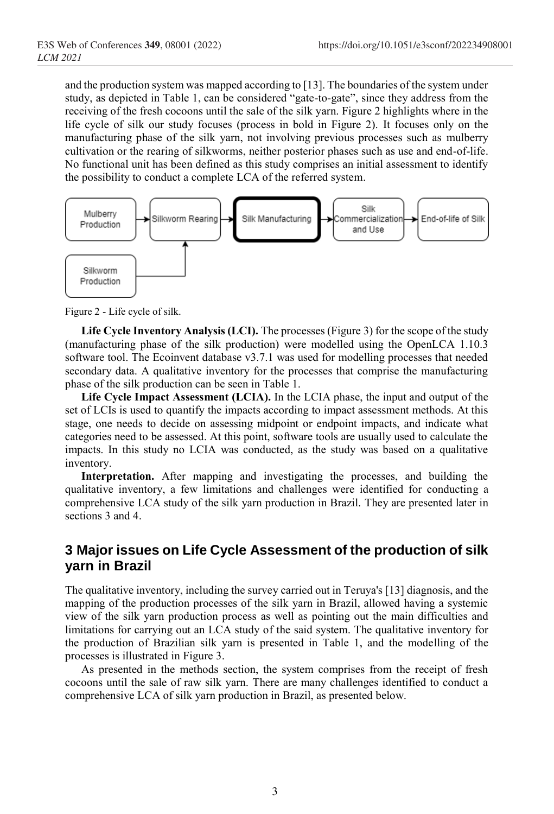and the production system was mapped according to [13]. The boundaries of the system under study, as depicted in Table 1, can be considered "gate-to-gate", since they address from the receiving of the fresh cocoons until the sale of the silk yarn. Figure 2 highlights where in the life cycle of silk our study focuses (process in bold in Figure 2). It focuses only on the manufacturing phase of the silk yarn, not involving previous processes such as mulberry cultivation or the rearing of silkworms, neither posterior phases such as use and end-of-life. No functional unit has been defined as this study comprises an initial assessment to identify the possibility to conduct a complete LCA of the referred system.



Figure 2 - Life cycle of silk.

**Life Cycle Inventory Analysis (LCI).** The processes (Figure 3) for the scope of the study (manufacturing phase of the silk production) were modelled using the OpenLCA 1.10.3 software tool. The Ecoinvent database v3.7.1 was used for modelling processes that needed secondary data. A qualitative inventory for the processes that comprise the manufacturing phase of the silk production can be seen in Table 1.

**Life Cycle Impact Assessment (LCIA).** In the LCIA phase, the input and output of the set of LCIs is used to quantify the impacts according to impact assessment methods. At this stage, one needs to decide on assessing midpoint or endpoint impacts, and indicate what categories need to be assessed. At this point, software tools are usually used to calculate the impacts. In this study no LCIA was conducted, as the study was based on a qualitative inventory.

**Interpretation.** After mapping and investigating the processes, and building the qualitative inventory, a few limitations and challenges were identified for conducting a comprehensive LCA study of the silk yarn production in Brazil. They are presented later in sections 3 and 4.

# **3 Major issues on Life Cycle Assessment of the production of silk yarn in Brazil**

The qualitative inventory, including the survey carried out in Teruya's [13] diagnosis, and the mapping of the production processes of the silk yarn in Brazil, allowed having a systemic view of the silk yarn production process as well as pointing out the main difficulties and limitations for carrying out an LCA study of the said system. The qualitative inventory for the production of Brazilian silk yarn is presented in Table 1, and the modelling of the processes is illustrated in Figure 3.

As presented in the methods section, the system comprises from the receipt of fresh cocoons until the sale of raw silk yarn. There are many challenges identified to conduct a comprehensive LCA of silk yarn production in Brazil, as presented below.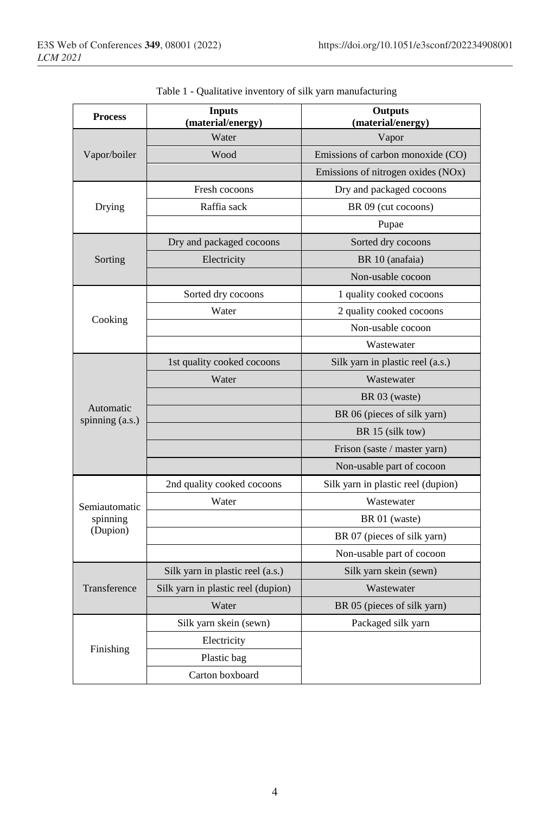| <b>Process</b>               | <b>Inputs</b><br>(material/energy) | <b>Outputs</b><br>(material/energy) |  |  |  |  |
|------------------------------|------------------------------------|-------------------------------------|--|--|--|--|
|                              | Water                              | Vapor                               |  |  |  |  |
| Vapor/boiler                 | Wood                               | Emissions of carbon monoxide (CO)   |  |  |  |  |
|                              |                                    | Emissions of nitrogen oxides (NOx)  |  |  |  |  |
|                              | Fresh cocoons                      | Dry and packaged cocoons            |  |  |  |  |
| Drying                       | Raffia sack                        | BR 09 (cut cocoons)                 |  |  |  |  |
|                              |                                    | Pupae                               |  |  |  |  |
| Sorting                      | Dry and packaged cocoons           | Sorted dry cocoons                  |  |  |  |  |
|                              | Electricity                        | BR 10 (anafaia)                     |  |  |  |  |
|                              |                                    | Non-usable cocoon                   |  |  |  |  |
| Cooking                      | Sorted dry cocoons                 | 1 quality cooked cocoons            |  |  |  |  |
|                              | Water                              | 2 quality cooked cocoons            |  |  |  |  |
|                              |                                    | Non-usable cocoon                   |  |  |  |  |
|                              |                                    | Wastewater                          |  |  |  |  |
|                              | 1st quality cooked cocoons         | Silk yarn in plastic reel (a.s.)    |  |  |  |  |
|                              | Water                              | Wastewater                          |  |  |  |  |
|                              |                                    | BR 03 (waste)                       |  |  |  |  |
| Automatic<br>spinning (a.s.) |                                    | BR 06 (pieces of silk yarn)         |  |  |  |  |
|                              |                                    | BR 15 (silk tow)                    |  |  |  |  |
|                              |                                    | Frison (saste / master yarn)        |  |  |  |  |
|                              |                                    | Non-usable part of cocoon           |  |  |  |  |
|                              | 2nd quality cooked cocoons         | Silk yarn in plastic reel (dupion)  |  |  |  |  |
| Semiautomatic                | Water                              | Wastewater                          |  |  |  |  |
| spinning                     |                                    | BR 01 (waste)                       |  |  |  |  |
| (Dupion)                     |                                    | BR 07 (pieces of silk yarn)         |  |  |  |  |
|                              |                                    | Non-usable part of cocoon           |  |  |  |  |
|                              | Silk yarn in plastic reel (a.s.)   | Silk yarn skein (sewn)              |  |  |  |  |
| Transference                 | Silk yarn in plastic reel (dupion) | Wastewater                          |  |  |  |  |
|                              | Water                              | BR 05 (pieces of silk yarn)         |  |  |  |  |
|                              | Silk yarn skein (sewn)             | Packaged silk yarn                  |  |  |  |  |
| Finishing                    | Electricity                        |                                     |  |  |  |  |
|                              | Plastic bag                        |                                     |  |  |  |  |
|                              | Carton boxboard                    |                                     |  |  |  |  |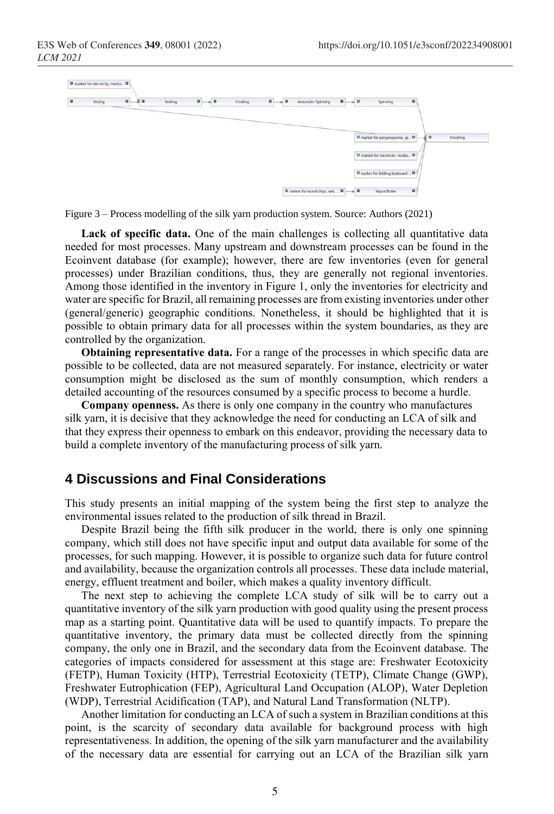|        | a a    |         |                 |         | $\blacksquare$ |                    |                |                                   |        |           |
|--------|--------|---------|-----------------|---------|----------------|--------------------|----------------|-----------------------------------|--------|-----------|
| Drying | $\Box$ | Sorting | $\Box$<br>$= 0$ | Cooking | $\Box$         | Automatic Spinning | $\blacksquare$ | Spinning<br>$= 0$                 | $\Box$ |           |
|        |        |         |                 |         |                |                    |                |                                   |        |           |
|        |        |         |                 |         |                |                    |                |                                   |        |           |
|        |        |         |                 |         |                |                    |                |                                   | 4.     |           |
|        |        |         |                 |         |                |                    |                | D market for polypropylene, gr D  |        | Finishing |
|        |        |         |                 |         |                |                    |                | D market for electricity, mediu D |        |           |
|        |        |         |                 |         |                |                    |                |                                   |        |           |
|        |        |         |                 |         |                |                    |                |                                   |        |           |
|        |        |         |                 |         |                |                    |                | D market for folding boxboard  D  |        |           |
|        |        |         |                 |         |                |                    |                |                                   |        |           |

Figure 3 – Process modelling of the silk yarn production system. Source: Authors (2021)

Lack of specific data. One of the main challenges is collecting all quantitative data needed for most processes. Many upstream and downstream processes can be found in the Ecoinvent database (for example); however, there are few inventories (even for general processes) under Brazilian conditions, thus, they are generally not regional inventories. Among those identified in the inventory in Figure 1, only the inventories for electricity and water are specific for Brazil, all remaining processes are from existing inventories under other (general/generic) geographic conditions. Nonetheless, it should be highlighted that it is possible to obtain primary data for all processes within the system boundaries, as they are controlled by the organization.

**Obtaining representative data.** For a range of the processes in which specific data are possible to be collected, data are not measured separately. For instance, electricity or water consumption might be disclosed as the sum of monthly consumption, which renders a detailed accounting of the resources consumed by a specific process to become a hurdle.

**Company openness.** As there is only one company in the country who manufactures silk yarn, it is decisive that they acknowledge the need for conducting an LCA of silk and that they express their openness to embark on this endeavor, providing the necessary data to build a complete inventory of the manufacturing process of silk yarn.

#### **4 Discussions and Final Considerations**

This study presents an initial mapping of the system being the first step to analyze the environmental issues related to the production of silk thread in Brazil.

Despite Brazil being the fifth silk producer in the world, there is only one spinning company, which still does not have specific input and output data available for some of the processes, for such mapping. However, it is possible to organize such data for future control and availability, because the organization controls all processes. These data include material, energy, effluent treatment and boiler, which makes a quality inventory difficult.

The next step to achieving the complete LCA study of silk will be to carry out a quantitative inventory of the silk yarn production with good quality using the present process map as a starting point. Quantitative data will be used to quantify impacts. To prepare the quantitative inventory, the primary data must be collected directly from the spinning company, the only one in Brazil, and the secondary data from the Ecoinvent database. The categories of impacts considered for assessment at this stage are: Freshwater Ecotoxicity (FETP), Human Toxicity (HTP), Terrestrial Ecotoxicity (TETP), Climate Change (GWP), Freshwater Eutrophication (FEP), Agricultural Land Occupation (ALOP), Water Depletion (WDP), Terrestrial Acidification (TAP), and Natural Land Transformation (NLTP).

Another limitation for conducting an LCA of such a system in Brazilian conditions at this point, is the scarcity of secondary data available for background process with high representativeness. In addition, the opening of the silk yarn manufacturer and the availability of the necessary data are essential for carrying out an LCA of the Brazilian silk yarn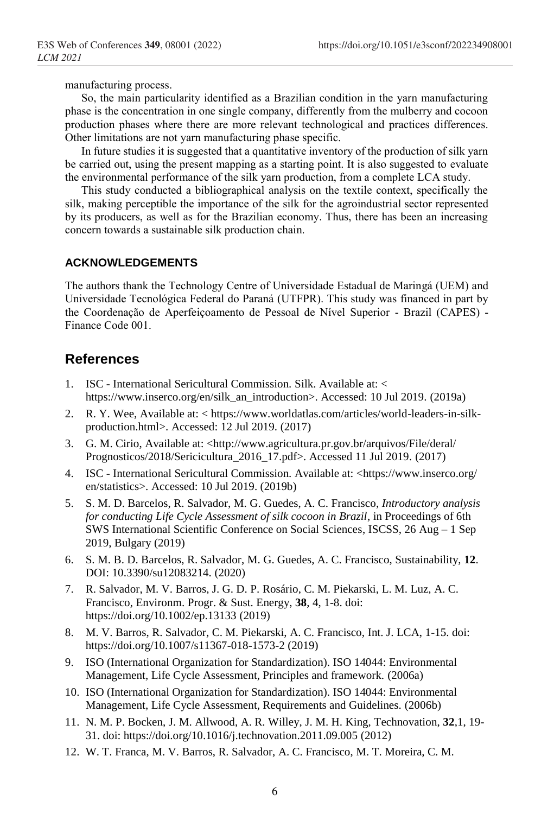manufacturing process.

So, the main particularity identified as a Brazilian condition in the yarn manufacturing phase is the concentration in one single company, differently from the mulberry and cocoon production phases where there are more relevant technological and practices differences. Other limitations are not yarn manufacturing phase specific.

In future studies it is suggested that a quantitative inventory of the production of silk yarn be carried out, using the present mapping as a starting point. It is also suggested to evaluate the environmental performance of the silk yarn production, from a complete LCA study.

This study conducted a bibliographical analysis on the textile context, specifically the silk, making perceptible the importance of the silk for the agroindustrial sector represented by its producers, as well as for the Brazilian economy. Thus, there has been an increasing concern towards a sustainable silk production chain.

#### **ACKNOWLEDGEMENTS**

The authors thank the Technology Centre of Universidade Estadual de Maringá (UEM) and Universidade Tecnológica Federal do Paraná (UTFPR). This study was financed in part by the Coordenação de Aperfeiçoamento de Pessoal de Nível Superior - Brazil (CAPES) - Finance Code 001.

### **References**

- 1. ISC International Sericultural Commission. Silk. Available at: < https://www.inserco.org/en/silk\_an\_introduction>. Accessed: 10 Jul 2019. (2019a)
- 2. R. Y. Wee, Available at: < https://www.worldatlas.com/articles/world-leaders-in-silkproduction.html>. Accessed: 12 Jul 2019. (2017)
- 3. G. M. Cirio, Available at: <http://www.agricultura.pr.gov.br/arquivos/File/deral/ Prognosticos/2018/Sericicultura\_2016\_17.pdf>. Accessed 11 Jul 2019. (2017)
- 4. ISC International Sericultural Commission. Available at: <https://www.inserco.org/ en/statistics>. Accessed: 10 Jul 2019. (2019b)
- 5. S. M. D. Barcelos, R. Salvador, M. G. Guedes, A. C. Francisco, *Introductory analysis for conducting Life Cycle Assessment of silk cocoon in Brazil*, in Proceedings of 6th SWS International Scientific Conference on Social Sciences, ISCSS, 26 Aug – 1 Sep 2019, Bulgary (2019)
- 6. S. M. B. D. Barcelos, R. Salvador, M. G. Guedes, A. C. Francisco, Sustainability, **12**. DOI: 10.3390/su12083214. (2020)
- 7. R. Salvador, M. V. Barros, J. G. D. P. Rosário, C. M. Piekarski, L. M. Luz, A. C. Francisco, Environm. Progr. & Sust. Energy, **38**, 4, 1-8. doi: <https://doi.org/10.1002/ep.13133> (2019)
- 8. M. V. Barros, R. Salvador, C. M. Piekarski, A. C. Francisco, Int. J. LCA, 1-15. doi: <https://doi.org/10.1007/s11367-018-1573-2> (2019)
- 9. ISO (International Organization for Standardization). ISO 14044: Environmental Management, Life Cycle Assessment, Principles and framework. (2006a)
- 10. ISO (International Organization for Standardization). ISO 14044: Environmental Management, Life Cycle Assessment, Requirements and Guidelines. (2006b)
- 11. N. M. P. Bocken, J. M. Allwood, A. R. Willey, J. M. H. King, Technovation, **32**,1, 19- 31. doi[: https://doi.org/10.1016/j.technovation.2011.09.005](https://doi.org/10.1016/j.technovation.2011.09.005) (2012)
- 12. W. T. Franca, M. V. Barros, R. Salvador, A. C. Francisco, M. T. Moreira, C. M.